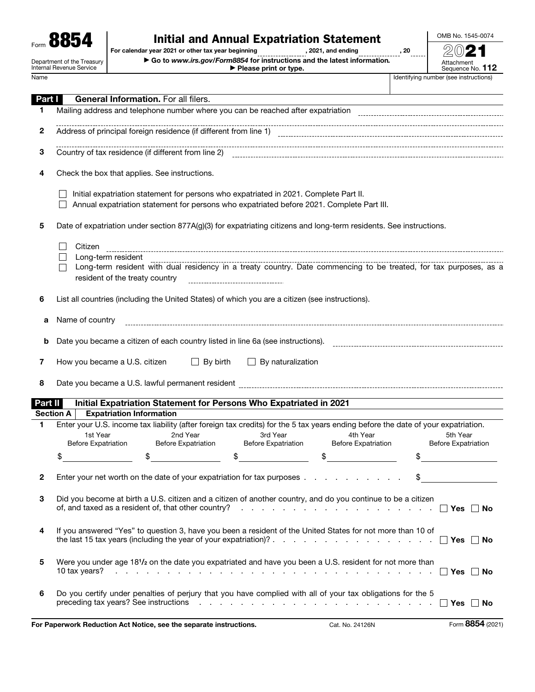# Form  $\overline{\text{BS54}}$   $\overline{\text{For calendar year 2021 or other tax year beginning}}$ <br>  $\overline{\text{S615 199999} \cdot \text{F.}^{2021, and ending}}$

OMB No. 1545-0074

Department of the Treasury Internal Revenue Service

|                                                    | $\cdots$                                                                  |      |
|----------------------------------------------------|---------------------------------------------------------------------------|------|
| For calendar year 2021 or other tax year beginning | . 2021. and ending                                                        | . 20 |
|                                                    | ► Go to www.irs.gov/Form8854 for instructions and the latest information. |      |

▶ Please print or type.

Attachment<br>Sequence No. **112** Name **IDENTIFYING** Name **IDENTIFYING** Name **IDENTIFYING** Name **IDENTIFYING** Name **IDENTIFYING** Name **IDENTIFYING** NAME IN STRUCTIONS

| Part I           | <b>General Information.</b> For all filers.                                                                                                                                                                |  |  |  |  |  |
|------------------|------------------------------------------------------------------------------------------------------------------------------------------------------------------------------------------------------------|--|--|--|--|--|
| 1                |                                                                                                                                                                                                            |  |  |  |  |  |
|                  |                                                                                                                                                                                                            |  |  |  |  |  |
| 2                |                                                                                                                                                                                                            |  |  |  |  |  |
|                  |                                                                                                                                                                                                            |  |  |  |  |  |
| 3                |                                                                                                                                                                                                            |  |  |  |  |  |
|                  |                                                                                                                                                                                                            |  |  |  |  |  |
|                  | Check the box that applies. See instructions.                                                                                                                                                              |  |  |  |  |  |
| 4                |                                                                                                                                                                                                            |  |  |  |  |  |
|                  |                                                                                                                                                                                                            |  |  |  |  |  |
|                  | Initial expatriation statement for persons who expatriated in 2021. Complete Part II.                                                                                                                      |  |  |  |  |  |
|                  | Annual expatriation statement for persons who expatriated before 2021. Complete Part III.                                                                                                                  |  |  |  |  |  |
|                  |                                                                                                                                                                                                            |  |  |  |  |  |
| 5                | Date of expatriation under section 877A(g)(3) for expatriating citizens and long-term residents. See instructions.                                                                                         |  |  |  |  |  |
|                  |                                                                                                                                                                                                            |  |  |  |  |  |
|                  | Citizen                                                                                                                                                                                                    |  |  |  |  |  |
|                  | Long-term resident                                                                                                                                                                                         |  |  |  |  |  |
|                  | Long-term resident<br>Long-term resident with dual residency in a treaty country. Date commencing to be treated, for tax purposes, as a                                                                    |  |  |  |  |  |
|                  | resident of the treaty country<br>------------------------------------                                                                                                                                     |  |  |  |  |  |
|                  |                                                                                                                                                                                                            |  |  |  |  |  |
| 6                | List all countries (including the United States) of which you are a citizen (see instructions).                                                                                                            |  |  |  |  |  |
|                  |                                                                                                                                                                                                            |  |  |  |  |  |
| a                | Name of country                                                                                                                                                                                            |  |  |  |  |  |
|                  |                                                                                                                                                                                                            |  |  |  |  |  |
|                  |                                                                                                                                                                                                            |  |  |  |  |  |
|                  | Date you became a citizen of each country listed in line 6a (see instructions).<br>b                                                                                                                       |  |  |  |  |  |
|                  |                                                                                                                                                                                                            |  |  |  |  |  |
|                  |                                                                                                                                                                                                            |  |  |  |  |  |
| 7                | How you became a U.S. citizen<br>$\Box$ By birth<br>$\Box$ By naturalization                                                                                                                               |  |  |  |  |  |
|                  |                                                                                                                                                                                                            |  |  |  |  |  |
| 8                | Date you became a U.S. lawful permanent resident [10001] [10001] [10001] [10001] [10001] [10001] [10001] [10001                                                                                            |  |  |  |  |  |
|                  |                                                                                                                                                                                                            |  |  |  |  |  |
| Part II          | Initial Expatriation Statement for Persons Who Expatriated in 2021                                                                                                                                         |  |  |  |  |  |
| <b>Section A</b> | <b>Expatriation Information</b>                                                                                                                                                                            |  |  |  |  |  |
| 1                | Enter your U.S. income tax liability (after foreign tax credits) for the 5 tax years ending before the date of your expatriation.                                                                          |  |  |  |  |  |
|                  | 3rd Year<br>5th Year<br>1st Year<br>2nd Year<br>4th Year                                                                                                                                                   |  |  |  |  |  |
|                  | <b>Before Expatriation</b><br><b>Before Expatriation</b><br><b>Before Expatriation</b><br><b>Before Expatriation</b><br><b>Before Expatriation</b>                                                         |  |  |  |  |  |
|                  | \$<br>\$<br>\$<br>\$<br>\$                                                                                                                                                                                 |  |  |  |  |  |
|                  |                                                                                                                                                                                                            |  |  |  |  |  |
|                  | Enter your net worth on the date of your expatriation for tax purposes                                                                                                                                     |  |  |  |  |  |
|                  |                                                                                                                                                                                                            |  |  |  |  |  |
|                  |                                                                                                                                                                                                            |  |  |  |  |  |
| 3                | Did you become at birth a U.S. citizen and a citizen of another country, and do you continue to be a citizen                                                                                               |  |  |  |  |  |
|                  |                                                                                                                                                                                                            |  |  |  |  |  |
|                  |                                                                                                                                                                                                            |  |  |  |  |  |
| 4                | If you answered "Yes" to question 3, have you been a resident of the United States for not more than 10 of                                                                                                 |  |  |  |  |  |
|                  |                                                                                                                                                                                                            |  |  |  |  |  |
|                  |                                                                                                                                                                                                            |  |  |  |  |  |
| 5                | Were you under age 181/2 on the date you expatriated and have you been a U.S. resident for not more than                                                                                                   |  |  |  |  |  |
|                  | 10 tax years? $\ldots$ $\ldots$ $\ldots$ $\ldots$ $\ldots$ $\ldots$ $\ldots$ $\ldots$ $\ldots$ $\ldots$ $\ldots$ $\ldots$ $\ldots$ $\ldots$ $\ldots$ $\ldots$ $\ldots$ $\ldots$ $\ldots$ $\ldots$ $\ldots$ |  |  |  |  |  |
|                  |                                                                                                                                                                                                            |  |  |  |  |  |
| 6                | Do you certify under penalties of perjury that you have complied with all of your tax obligations for the 5                                                                                                |  |  |  |  |  |
|                  |                                                                                                                                                                                                            |  |  |  |  |  |

For Paperwork Reduction Act Notice, see the separate instructions. Cat. No. 24126N Form 8854 (2021)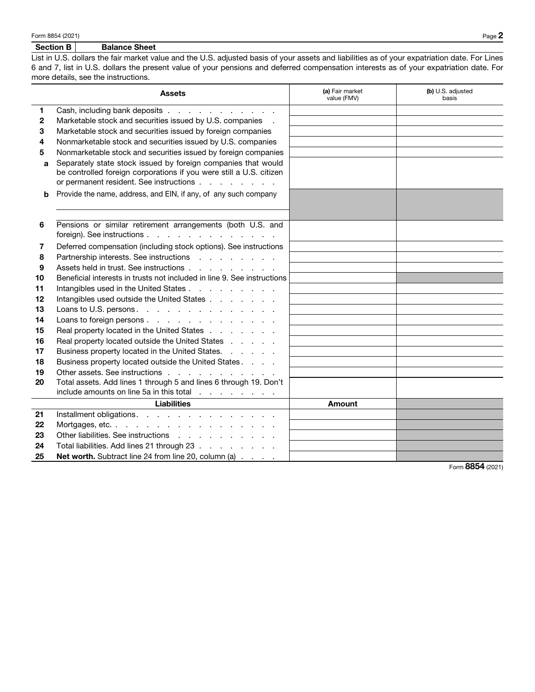#### Section B | Balance Sheet

List in U.S. dollars the fair market value and the U.S. adjusted basis of your assets and liabilities as of your expatriation date. For Lines 6 and 7, list in U.S. dollars the present value of your pensions and deferred compensation interests as of your expatriation date. For more details, see the instructions.

|    | <b>Assets</b>                                                           | (a) Fair market<br>value (FMV) | (b) U.S. adjusted<br>basis |
|----|-------------------------------------------------------------------------|--------------------------------|----------------------------|
| 1. | Cash, including bank deposits                                           |                                |                            |
| 2  | Marketable stock and securities issued by U.S. companies .              |                                |                            |
| 3  | Marketable stock and securities issued by foreign companies             |                                |                            |
| 4  | Nonmarketable stock and securities issued by U.S. companies             |                                |                            |
| 5  | Nonmarketable stock and securities issued by foreign companies          |                                |                            |
| a  | Separately state stock issued by foreign companies that would           |                                |                            |
|    | be controlled foreign corporations if you were still a U.S. citizen     |                                |                            |
|    | or permanent resident. See instructions                                 |                                |                            |
| b  | Provide the name, address, and EIN, if any, of any such company         |                                |                            |
|    |                                                                         |                                |                            |
|    |                                                                         |                                |                            |
| 6  | Pensions or similar retirement arrangements (both U.S. and              |                                |                            |
|    | foreign). See instructions                                              |                                |                            |
| 7  | Deferred compensation (including stock options). See instructions       |                                |                            |
| 8  | Partnership interests. See instructions                                 |                                |                            |
| 9  | Assets held in trust. See instructions                                  |                                |                            |
| 10 | Beneficial interests in trusts not included in line 9. See instructions |                                |                            |
| 11 | Intangibles used in the United States                                   |                                |                            |
| 12 | Intangibles used outside the United States                              |                                |                            |
| 13 | Loans to U.S. persons.                                                  |                                |                            |
| 14 | Loans to foreign persons                                                |                                |                            |
| 15 | Real property located in the United States                              |                                |                            |
| 16 | Real property located outside the United States                         |                                |                            |
| 17 | Business property located in the United States.                         |                                |                            |
| 18 | Business property located outside the United States.                    |                                |                            |
| 19 | Other assets. See instructions                                          |                                |                            |
| 20 | Total assets. Add lines 1 through 5 and lines 6 through 19. Don't       |                                |                            |
|    | include amounts on line 5a in this total                                |                                |                            |
|    | <b>Liabilities</b>                                                      | Amount                         |                            |
| 21 | Installment obligations.                                                |                                |                            |
| 22 | Mortgages, etc.                                                         |                                |                            |
| 23 | Other liabilities. See instructions                                     |                                |                            |
| 24 | Total liabilities. Add lines 21 through 23                              |                                |                            |
| 25 | Net worth. Subtract line 24 from line 20, column (a)                    |                                |                            |

Form 8854 (2021)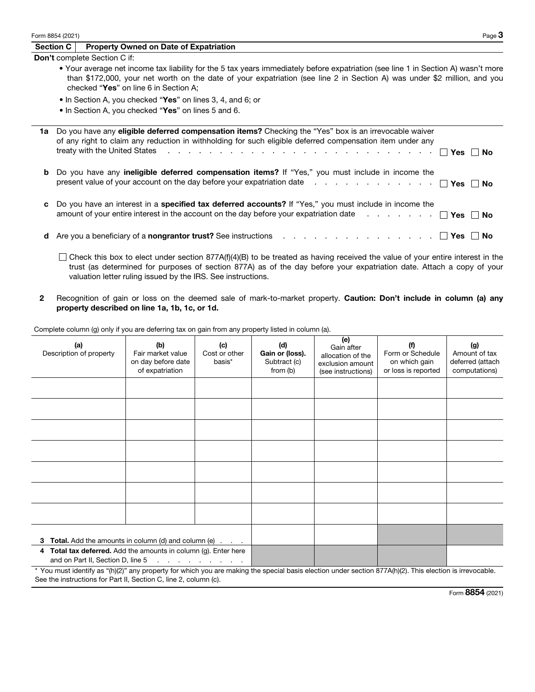|    | Form 8854 (2021) | Page 3                                                                                                                                                                                                                                                                                                                                                                                   |
|----|------------------|------------------------------------------------------------------------------------------------------------------------------------------------------------------------------------------------------------------------------------------------------------------------------------------------------------------------------------------------------------------------------------------|
|    | Section C        | <b>Property Owned on Date of Expatriation</b>                                                                                                                                                                                                                                                                                                                                            |
|    |                  | <b>Don't</b> complete Section C if:                                                                                                                                                                                                                                                                                                                                                      |
|    |                  | • Your average net income tax liability for the 5 tax years immediately before expatriation (see line 1 in Section A) wasn't more<br>than \$172,000, your net worth on the date of your expatriation (see line 2 in Section A) was under \$2 million, and you<br>checked "Yes" on line 6 in Section A;                                                                                   |
|    |                  | • In Section A, you checked "Yes" on lines 3, 4, and 6; or                                                                                                                                                                                                                                                                                                                               |
|    |                  | • In Section A, you checked "Yes" on lines 5 and 6.                                                                                                                                                                                                                                                                                                                                      |
| 1a |                  | Do you have any <b>eligible deferred compensation items?</b> Checking the "Yes" box is an irrevocable waiver<br>of any right to claim any reduction in withholding for such eligible deferred compensation item under any<br>treaty with the United States $\cdots$ $\cdots$ $\cdots$ $\cdots$ $\cdots$ $\cdots$ $\cdots$ $\cdots$ $\cdots$ $\cdots$ $\cdots$ $\cdots$ $\cdots$ $\cdots$ |
| b  |                  | Do you have any <b>ineligible deferred compensation items?</b> If "Yes," you must include in income the                                                                                                                                                                                                                                                                                  |
| c  |                  | Do you have an interest in a <b>specified tax deferred accounts?</b> If "Yes," you must include in income the<br>amount of your entire interest in the account on the day before your expatriation date $\Box$                                                                                                                                                                           |
| d  |                  | Are you a beneficiary of a <b>nongrantor trust?</b> See instructions enterpretated as a series of the second of the second of the second of the second of the second of the second of the second of the second of the second of the<br>Yes<br>No                                                                                                                                         |

 $\Box$  Check this box to elect under section 877A(f)(4)(B) to be treated as having received the value of your entire interest in the trust (as determined for purposes of section 877A) as of the day before your expatriation date. Attach a copy of your valuation letter ruling issued by the IRS. See instructions.

2 Recognition of gain or loss on the deemed sale of mark-to-market property. Caution: Don't include in column (a) any property described on line 1a, 1b, 1c, or 1d.

Complete column (g) only if you are deferring tax on gain from any property listed in column (a).

| (a)<br>Description of property                                                                                                                           | (b)<br>Fair market value<br>on day before date<br>of expatriation | (c)<br>Cost or other<br>basis*  | (d)<br>Gain or (loss).<br>Subtract (c)<br>from (b) | (e)<br>Gain after<br>allocation of the<br>exclusion amount<br>(see instructions) | (f)<br>Form or Schedule<br>on which gain<br>or loss is reported | (g)<br>Amount of tax<br>deferred (attach<br>computations) |
|----------------------------------------------------------------------------------------------------------------------------------------------------------|-------------------------------------------------------------------|---------------------------------|----------------------------------------------------|----------------------------------------------------------------------------------|-----------------------------------------------------------------|-----------------------------------------------------------|
|                                                                                                                                                          |                                                                   |                                 |                                                    |                                                                                  |                                                                 |                                                           |
|                                                                                                                                                          |                                                                   |                                 |                                                    |                                                                                  |                                                                 |                                                           |
|                                                                                                                                                          |                                                                   |                                 |                                                    |                                                                                  |                                                                 |                                                           |
|                                                                                                                                                          |                                                                   |                                 |                                                    |                                                                                  |                                                                 |                                                           |
|                                                                                                                                                          |                                                                   |                                 |                                                    |                                                                                  |                                                                 |                                                           |
|                                                                                                                                                          |                                                                   |                                 |                                                    |                                                                                  |                                                                 |                                                           |
|                                                                                                                                                          |                                                                   |                                 |                                                    |                                                                                  |                                                                 |                                                           |
| 3 Total. Add the amounts in column (d) and column (e)                                                                                                    |                                                                   |                                 |                                                    |                                                                                  |                                                                 |                                                           |
| 4 Total tax deferred. Add the amounts in column (g). Enter here                                                                                          |                                                                   |                                 |                                                    |                                                                                  |                                                                 |                                                           |
| and on Part II, Section D, line 5                                                                                                                        |                                                                   | design and a state of the state |                                                    |                                                                                  |                                                                 |                                                           |
| * You must identify as "(h)(2)" any property for which you are making the special basis election under section 877A(h)(2). This election is irrevocable. |                                                                   |                                 |                                                    |                                                                                  |                                                                 |                                                           |

See the instructions for Part II, Section C, line 2, column (c).

Form 8854 (2021)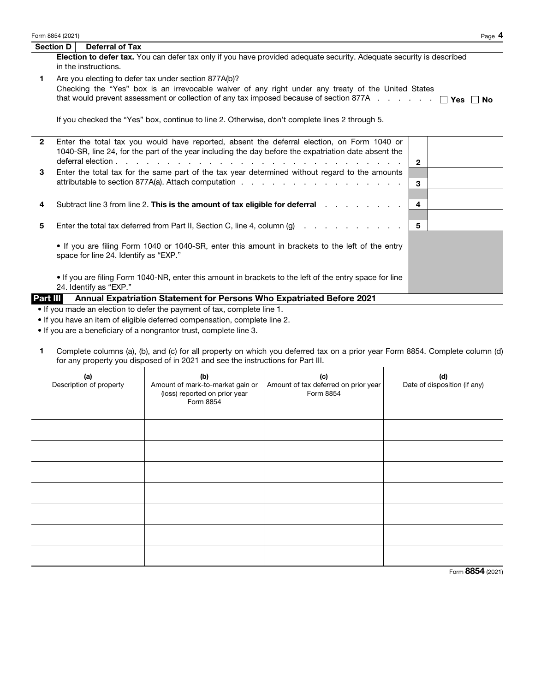| Section D | Deferral of Tax                                                                                                             |
|-----------|-----------------------------------------------------------------------------------------------------------------------------|
|           | <b>Election to defer tax.</b> You can defer tax only if you have provided adequate security. Adequate security is described |
|           | in the instructions.                                                                                                        |

1 Are you electing to defer tax under section 877A(b)? Checking the "Yes" box is an irrevocable waiver of any right under any treaty of the United States that would prevent assessment or collection of any tax imposed because of section 877A . . . . .  $\Box$  Yes  $\Box$  No

If you checked the "Yes" box, continue to line 2. Otherwise, don't complete lines 2 through 5.

| Part III     | Annual Expatriation Statement for Persons Who Expatriated Before 2021                                                                                                                              |              |  |
|--------------|----------------------------------------------------------------------------------------------------------------------------------------------------------------------------------------------------|--------------|--|
|              | If you are filing Form 1040-NR, enter this amount in brackets to the left of the entry space for line<br>24. Identify as "EXP."                                                                    |              |  |
|              | • If you are filing Form 1040 or 1040-SR, enter this amount in brackets to the left of the entry<br>space for line 24. Identify as "EXP."                                                          |              |  |
| 5            | Enter the total tax deferred from Part II, Section C, line 4, column (g) $\ldots$ 5                                                                                                                |              |  |
| 4            | Subtract line 3 from line 2. This is the amount of tax eligible for deferral enterprised in the set of the Sub                                                                                     | 4            |  |
| 3            | Enter the total tax for the same part of the tax year determined without regard to the amounts                                                                                                     | 3            |  |
| $\mathbf{2}$ | Enter the total tax you would have reported, absent the deferral election, on Form 1040 or<br>1040-SR, line 24, for the part of the year including the day before the expatriation date absent the | $\mathbf{2}$ |  |

• If you made an election to defer the payment of tax, complete line 1.

• If you have an item of eligible deferred compensation, complete line 2.

• If you are a beneficiary of a nongrantor trust, complete line 3.

1 Complete columns (a), (b), and (c) for all property on which you deferred tax on a prior year Form 8854. Complete column (d) for any property you disposed of in 2021 and see the instructions for Part III.

| (a)<br>Description of property | (b)<br>Amount of mark-to-market gain or<br>(loss) reported on prior year<br>Form 8854 | (c)<br>Amount of tax deferred on prior year<br>Form 8854 | (d)<br>Date of disposition (if any) |
|--------------------------------|---------------------------------------------------------------------------------------|----------------------------------------------------------|-------------------------------------|
|                                |                                                                                       |                                                          |                                     |
|                                |                                                                                       |                                                          |                                     |
|                                |                                                                                       |                                                          |                                     |
|                                |                                                                                       |                                                          |                                     |
|                                |                                                                                       |                                                          |                                     |
|                                |                                                                                       |                                                          |                                     |
|                                |                                                                                       |                                                          |                                     |

Form 8854 (2021)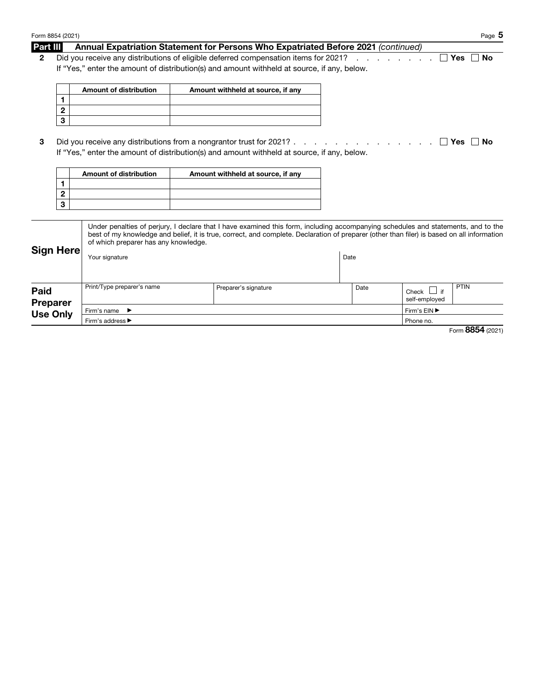|                  | Form 8854 (2021) |                                                                                             |                                                                                                                                            |                                                                                                                 |                 | Page $5$         |
|------------------|------------------|---------------------------------------------------------------------------------------------|--------------------------------------------------------------------------------------------------------------------------------------------|-----------------------------------------------------------------------------------------------------------------|-----------------|------------------|
| Part III         |                  | Annual Expatriation Statement for Persons Who Expatriated Before 2021 (continued)           |                                                                                                                                            |                                                                                                                 |                 |                  |
| $\mathbf{2}$     |                  | Did you receive any distributions of eligible deferred compensation items for 2021?         |                                                                                                                                            |                                                                                                                 |                 | <b>No</b><br>Yes |
|                  |                  | If "Yes," enter the amount of distribution(s) and amount withheld at source, if any, below. |                                                                                                                                            |                                                                                                                 |                 |                  |
|                  |                  |                                                                                             |                                                                                                                                            |                                                                                                                 |                 |                  |
|                  |                  | <b>Amount of distribution</b>                                                               | Amount withheld at source, if any                                                                                                          |                                                                                                                 |                 |                  |
|                  | 1                |                                                                                             |                                                                                                                                            |                                                                                                                 |                 |                  |
|                  | $\mathbf{2}$     |                                                                                             |                                                                                                                                            |                                                                                                                 |                 |                  |
|                  | 3                |                                                                                             |                                                                                                                                            |                                                                                                                 |                 |                  |
|                  |                  |                                                                                             |                                                                                                                                            |                                                                                                                 |                 |                  |
| 3                |                  | Did you receive any distributions from a nongrantor trust for 2021?.                        |                                                                                                                                            | the contract of the contract of the contract of the contract of the contract of the contract of the contract of |                 | l l Yes<br>No    |
|                  |                  | If "Yes," enter the amount of distribution(s) and amount withheld at source, if any, below. |                                                                                                                                            |                                                                                                                 |                 |                  |
|                  |                  | Amount of distribution                                                                      |                                                                                                                                            |                                                                                                                 |                 |                  |
|                  | 1                |                                                                                             | Amount withheld at source, if any                                                                                                          |                                                                                                                 |                 |                  |
|                  | $\mathbf 2$      |                                                                                             |                                                                                                                                            |                                                                                                                 |                 |                  |
|                  | $\mathbf 3$      |                                                                                             |                                                                                                                                            |                                                                                                                 |                 |                  |
|                  |                  |                                                                                             |                                                                                                                                            |                                                                                                                 |                 |                  |
|                  |                  |                                                                                             | Under penalties of perjury, I declare that I have examined this form, including accompanying schedules and statements, and to the          |                                                                                                                 |                 |                  |
|                  |                  |                                                                                             | best of my knowledge and belief, it is true, correct, and complete. Declaration of preparer (other than filer) is based on all information |                                                                                                                 |                 |                  |
|                  |                  | of which preparer has any knowledge.                                                        |                                                                                                                                            |                                                                                                                 |                 |                  |
| <b>Sign Here</b> |                  | Your signature                                                                              |                                                                                                                                            | Date                                                                                                            |                 |                  |
|                  |                  |                                                                                             |                                                                                                                                            |                                                                                                                 |                 |                  |
|                  |                  |                                                                                             |                                                                                                                                            |                                                                                                                 |                 |                  |
| Paid             |                  | Print/Type preparer's name                                                                  | Preparer's signature                                                                                                                       | Date                                                                                                            | Check $\Box$ if | PTIN             |
| <b>Preparer</b>  |                  |                                                                                             |                                                                                                                                            |                                                                                                                 | self-employed   |                  |
|                  | <b>Use Only</b>  | Firm's name                                                                                 |                                                                                                                                            |                                                                                                                 | Firm's EIN ▶    |                  |
|                  |                  | Firm's address ▶                                                                            |                                                                                                                                            |                                                                                                                 | Phone no.       |                  |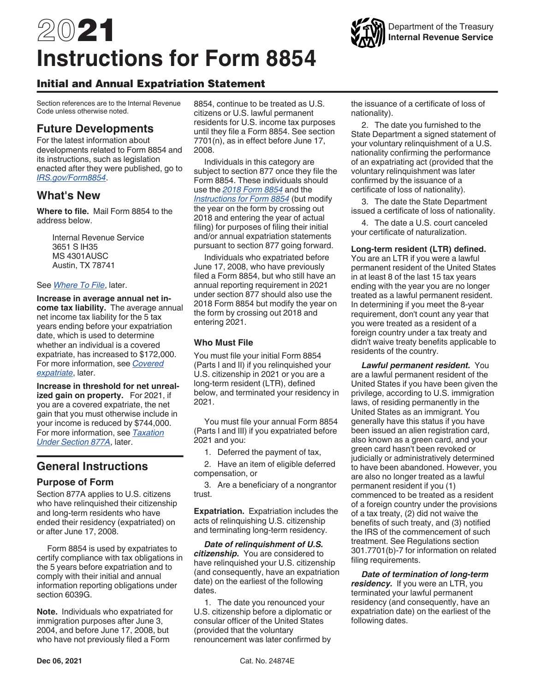# 2021 **Instructions for Form 8854**

## Initial and Annual Expatriation Statement

Section references are to the Internal Revenue Code unless otherwise noted.

# **Future Developments**

For the latest information about developments related to Form 8854 and its instructions, such as legislation enacted after they were published, go to *[IRS.gov/Form8854](https://www.irs.gov/Form8854)*.

# **What's New**

**Where to file.** Mail Form 8854 to the address below.

> Internal Revenue Service 3651 S IH35 MS 4301AUSC Austin, TX 78741

#### See *Where To File*, later.

**Increase in average annual net income tax liability.** The average annual net income tax liability for the 5 tax years ending before your expatriation date, which is used to determine whether an individual is a covered expatriate, has increased to \$172,000. For more information, see *Covered expatriate*, later.

**Increase in threshold for net unrealized gain on property.** For 2021, if you are a covered expatriate, the net gain that you must otherwise include in your income is reduced by \$744,000. For more information, see *Taxation Under Section 877A*, later.

# **General Instructions**

## **Purpose of Form**

Section 877A applies to U.S. citizens who have relinquished their citizenship and long-term residents who have ended their residency (expatriated) on or after June 17, 2008.

Form 8854 is used by expatriates to certify compliance with tax obligations in the 5 years before expatriation and to comply with their initial and annual information reporting obligations under section 6039G.

**Note.** Individuals who expatriated for immigration purposes after June 3, 2004, and before June 17, 2008, but who have not previously filed a Form

8854, continue to be treated as U.S. citizens or U.S. lawful permanent residents for U.S. income tax purposes until they file a Form 8854. See section 7701(n), as in effect before June 17, 2008.

Individuals in this category are subject to section 877 once they file the Form 8854. These individuals should use the *[2018 Form 8854](https://www.irs.gov/pub/irs-prior/f8854--2018.pdf)* and the *[Instructions for Form 8854](https://www.irs.gov/pub/irs-prior/i8854--2018.pdf)* (but modify the year on the form by crossing out 2018 and entering the year of actual filing) for purposes of filing their initial and/or annual expatriation statements pursuant to section 877 going forward.

Individuals who expatriated before June 17, 2008, who have previously filed a Form 8854, but who still have an annual reporting requirement in 2021 under section 877 should also use the 2018 Form 8854 but modify the year on the form by crossing out 2018 and entering 2021.

## **Who Must File**

You must file your initial Form 8854 (Parts I and II) if you relinquished your U.S. citizenship in 2021 or you are a long-term resident (LTR), defined below, and terminated your residency in 2021.

You must file your annual Form 8854 (Parts I and III) if you expatriated before 2021 and you:

1. Deferred the payment of tax,

2. Have an item of eligible deferred compensation, or

3. Are a beneficiary of a nongrantor trust.

**Expatriation.** Expatriation includes the acts of relinquishing U.S. citizenship and terminating long-term residency.

*Date of relinquishment of U.S. citizenship.* You are considered to have relinquished your U.S. citizenship (and consequently, have an expatriation date) on the earliest of the following dates.

1. The date you renounced your U.S. citizenship before a diplomatic or consular officer of the United States (provided that the voluntary renouncement was later confirmed by

the issuance of a certificate of loss of nationality).

2. The date you furnished to the State Department a signed statement of your voluntary relinquishment of a U.S. nationality confirming the performance of an expatriating act (provided that the voluntary relinquishment was later confirmed by the issuance of a certificate of loss of nationality).

3. The date the State Department issued a certificate of loss of nationality.

4. The date a U.S. court canceled your certificate of naturalization.

#### **Long-term resident (LTR) defined.**

You are an LTR if you were a lawful permanent resident of the United States in at least 8 of the last 15 tax years ending with the year you are no longer treated as a lawful permanent resident. In determining if you meet the 8-year requirement, don't count any year that you were treated as a resident of a foreign country under a tax treaty and didn't waive treaty benefits applicable to residents of the country.

*Lawful permanent resident.* You are a lawful permanent resident of the United States if you have been given the privilege, according to U.S. immigration laws, of residing permanently in the United States as an immigrant. You generally have this status if you have been issued an alien registration card, also known as a green card, and your green card hasn't been revoked or judicially or administratively determined to have been abandoned. However, you are also no longer treated as a lawful permanent resident if you (1) commenced to be treated as a resident of a foreign country under the provisions of a tax treaty, (2) did not waive the benefits of such treaty, and (3) notified the IRS of the commencement of such treatment. See Regulations section 301.7701(b)-7 for information on related filing requirements.

*Date of termination of long-term residency.* If you were an LTR, you terminated your lawful permanent residency (and consequently, have an expatriation date) on the earliest of the following dates.

Department of the Treasury **Internal Revenue Service**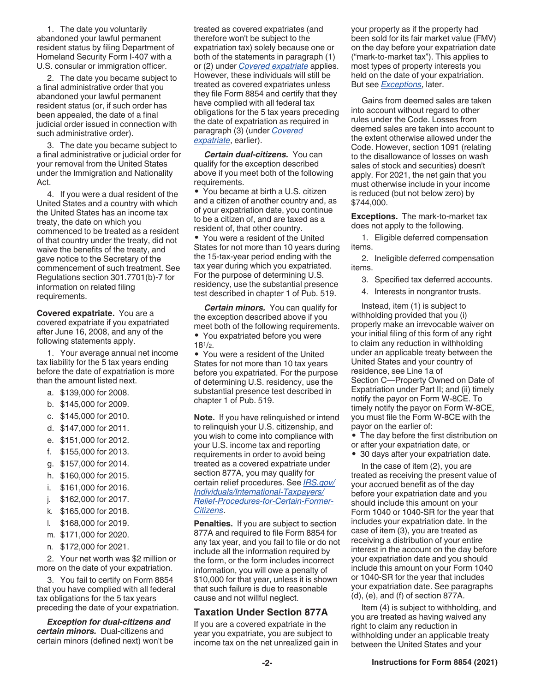1. The date you voluntarily abandoned your lawful permanent resident status by filing Department of Homeland Security Form I-407 with a U.S. consular or immigration officer.

2. The date you became subject to a final administrative order that you abandoned your lawful permanent resident status (or, if such order has been appealed, the date of a final judicial order issued in connection with such administrative order).

3. The date you became subject to a final administrative or judicial order for your removal from the United States under the Immigration and Nationality Act.

4. If you were a dual resident of the United States and a country with which the United States has an income tax treaty, the date on which you commenced to be treated as a resident of that country under the treaty, did not waive the benefits of the treaty, and gave notice to the Secretary of the commencement of such treatment. See Regulations section 301.7701(b)-7 for information on related filing requirements.

**Covered expatriate.** You are a covered expatriate if you expatriated after June 16, 2008, and any of the following statements apply.

1. Your average annual net income tax liability for the 5 tax years ending before the date of expatriation is more than the amount listed next.

- a. \$139,000 for 2008.
- b. \$145,000 for 2009.
- c. \$145,000 for 2010.
- d. \$147,000 for 2011.
- e. \$151,000 for 2012.
- f. \$155,000 for 2013.
- g. \$157,000 for 2014.
- h. \$160,000 for 2015.
- i. \$161,000 for 2016.
- j. \$162,000 for 2017.
- k. \$165,000 for 2018.
- l. \$168,000 for 2019.
- m. \$171,000 for 2020.
- n. \$172,000 for 2021.

2. Your net worth was \$2 million or more on the date of your expatriation.

3. You fail to certify on Form 8854 that you have complied with all federal tax obligations for the 5 tax years preceding the date of your expatriation.

*Exception for dual-citizens and certain minors.* Dual-citizens and certain minors (defined next) won't be treated as covered expatriates (and therefore won't be subject to the expatriation tax) solely because one or both of the statements in paragraph (1) or (2) under *Covered expatriate* applies. However, these individuals will still be treated as covered expatriates unless they file Form 8854 and certify that they have complied with all federal tax obligations for the 5 tax years preceding the date of expatriation as required in paragraph (3) (under *Covered expatriate*, earlier).

*Certain dual-citizens.* You can qualify for the exception described above if you meet both of the following requirements.

• You became at birth a U.S. citizen and a citizen of another country and, as of your expatriation date, you continue to be a citizen of, and are taxed as a resident of, that other country.

• You were a resident of the United States for not more than 10 years during the 15-tax-year period ending with the tax year during which you expatriated. For the purpose of determining U.S. residency, use the substantial presence test described in chapter 1 of Pub. 519.

*Certain minors.* You can qualify for the exception described above if you meet both of the following requirements. • You expatriated before you were  $18^{1/2}$ .

• You were a resident of the United States for not more than 10 tax years before you expatriated. For the purpose of determining U.S. residency, use the substantial presence test described in chapter 1 of Pub. 519.

**Note.** If you have relinquished or intend to relinquish your U.S. citizenship, and you wish to come into compliance with your U.S. income tax and reporting requirements in order to avoid being treated as a covered expatriate under section 877A, you may qualify for certain relief procedures. See *[IRS.gov/](https://www.irs.gov/individuals/international-taxpayers/relief-procedures-for-certain-former-citizens) [Individuals/International-Taxpayers/](https://www.irs.gov/individuals/international-taxpayers/relief-procedures-for-certain-former-citizens) [Relief-Procedures-for-Certain-Former-](https://www.irs.gov/individuals/international-taxpayers/relief-procedures-for-certain-former-citizens)[Citizens](https://www.irs.gov/individuals/international-taxpayers/relief-procedures-for-certain-former-citizens)*.

**Penalties.** If you are subject to section 877A and required to file Form 8854 for any tax year, and you fail to file or do not include all the information required by the form, or the form includes incorrect information, you will owe a penalty of \$10,000 for that year, unless it is shown that such failure is due to reasonable cause and not willful neglect.

#### **Taxation Under Section 877A**

If you are a covered expatriate in the year you expatriate, you are subject to income tax on the net unrealized gain in your property as if the property had been sold for its fair market value (FMV) on the day before your expatriation date ("mark-to-market tax"). This applies to most types of property interests you held on the date of your expatriation. But see *Exceptions*, later.

Gains from deemed sales are taken into account without regard to other rules under the Code. Losses from deemed sales are taken into account to the extent otherwise allowed under the Code. However, section 1091 (relating to the disallowance of losses on wash sales of stock and securities) doesn't apply. For 2021, the net gain that you must otherwise include in your income is reduced (but not below zero) by \$744,000.

**Exceptions.** The mark-to-market tax does not apply to the following.

1. Eligible deferred compensation items.

2. Ineligible deferred compensation items.

3. Specified tax deferred accounts.

4. Interests in nongrantor trusts.

Instead, item (1) is subject to withholding provided that you (i) properly make an irrevocable waiver on your initial filing of this form of any right to claim any reduction in withholding under an applicable treaty between the United States and your country of residence, see Line 1a of Section C—Property Owned on Date of Expatriation under Part II; and (ii) timely notify the payor on Form W-8CE. To timely notify the payor on Form W-8CE, you must file the Form W-8CE with the payor on the earlier of:

- The day before the first distribution on
- or after your expatriation date, or
- 30 days after your expatriation date.

In the case of item (2), you are treated as receiving the present value of your accrued benefit as of the day before your expatriation date and you should include this amount on your Form 1040 or 1040-SR for the year that includes your expatriation date. In the case of item (3), you are treated as receiving a distribution of your entire interest in the account on the day before your expatriation date and you should include this amount on your Form 1040 or 1040-SR for the year that includes your expatriation date. See paragraphs (d), (e), and (f) of section 877A.

Item (4) is subject to withholding, and you are treated as having waived any right to claim any reduction in withholding under an applicable treaty between the United States and your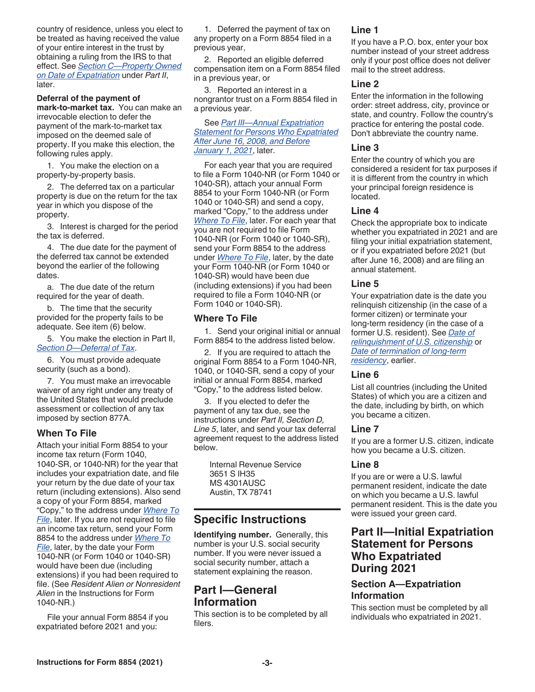country of residence, unless you elect to be treated as having received the value of your entire interest in the trust by obtaining a ruling from the IRS to that effect. See *Section C—Property Owned on Date of Expatriation* under *Part II*, later.

**Deferral of the payment of mark-to-market tax.** You can make an irrevocable election to defer the payment of the mark-to-market tax imposed on the deemed sale of property. If you make this election, the following rules apply.

1. You make the election on a property-by-property basis.

2. The deferred tax on a particular property is due on the return for the tax year in which you dispose of the property.

3. Interest is charged for the period the tax is deferred.

4. The due date for the payment of the deferred tax cannot be extended beyond the earlier of the following dates.

a. The due date of the return required for the year of death.

b. The time that the security provided for the property fails to be adequate. See item (6) below.

5. You make the election in Part II, *Section D—Deferral of Tax*.

6. You must provide adequate security (such as a bond).

7. You must make an irrevocable waiver of any right under any treaty of the United States that would preclude assessment or collection of any tax imposed by section 877A.

## **When To File**

Attach your initial Form 8854 to your income tax return (Form 1040, 1040-SR, or 1040-NR) for the year that includes your expatriation date, and file your return by the due date of your tax return (including extensions). Also send a copy of your Form 8854, marked "Copy," to the address under *Where To File*, later. If you are not required to file an income tax return, send your Form 8854 to the address under *Where To File*, later, by the date your Form 1040-NR (or Form 1040 or 1040-SR) would have been due (including extensions) if you had been required to file. (See *Resident Alien or Nonresident Alien* in the Instructions for Form 1040-NR.)

File your annual Form 8854 if you expatriated before 2021 and you:

1. Deferred the payment of tax on any property on a Form 8854 filed in a previous year,

2. Reported an eligible deferred compensation item on a Form 8854 filed in a previous year, or

3. Reported an interest in a nongrantor trust on a Form 8854 filed in a previous year.

See *Part III—Annual Expatriation Statement for Persons Who Expatriated After June 16, 2008, and Before January 1, 2021*, later.

For each year that you are required to file a Form 1040-NR (or Form 1040 or 1040-SR), attach your annual Form 8854 to your Form 1040-NR (or Form 1040 or 1040-SR) and send a copy, marked "Copy," to the address under *Where To File*, later. For each year that you are not required to file Form 1040-NR (or Form 1040 or 1040-SR), send your Form 8854 to the address under *Where To File*, later, by the date your Form 1040-NR (or Form 1040 or 1040-SR) would have been due (including extensions) if you had been required to file a Form 1040-NR (or Form 1040 or 1040-SR).

#### **Where To File**

1. Send your original initial or annual Form 8854 to the address listed below.

2. If you are required to attach the original Form 8854 to a Form 1040-NR, 1040, or 1040-SR, send a copy of your initial or annual Form 8854, marked "Copy," to the address listed below.

3. If you elected to defer the payment of any tax due, see the instructions under *Part II, Section D, Line 5*, later, and send your tax deferral agreement request to the address listed below.

Internal Revenue Service 3651 S IH35 MS 4301AUSC Austin, TX 78741

# **Specific Instructions**

**Identifying number.** Generally, this number is your U.S. social security number. If you were never issued a social security number, attach a statement explaining the reason.

# **Part I—General Information**

This section is to be completed by all filers.

## **Line 1**

If you have a P.O. box, enter your box number instead of your street address only if your post office does not deliver mail to the street address.

#### **Line 2**

Enter the information in the following order: street address, city, province or state, and country. Follow the country's practice for entering the postal code. Don't abbreviate the country name.

#### **Line 3**

Enter the country of which you are considered a resident for tax purposes if it is different from the country in which your principal foreign residence is located.

## **Line 4**

Check the appropriate box to indicate whether you expatriated in 2021 and are filing your initial expatriation statement, or if you expatriated before 2021 (but after June 16, 2008) and are filing an annual statement.

## **Line 5**

Your expatriation date is the date you relinquish citizenship (in the case of a former citizen) or terminate your long-term residency (in the case of a former U.S. resident). See *Date of relinquishment of U.S. citizenship* or *Date of termination of long-term residency*, earlier.

#### **Line 6**

List all countries (including the United States) of which you are a citizen and the date, including by birth, on which you became a citizen.

## **Line 7**

If you are a former U.S. citizen, indicate how you became a U.S. citizen.

## **Line 8**

If you are or were a U.S. lawful permanent resident, indicate the date on which you became a U.S. lawful permanent resident. This is the date you were issued your green card.

# **Part II—Initial Expatriation Statement for Persons Who Expatriated During 2021**

## **Section A—Expatriation Information**

This section must be completed by all individuals who expatriated in 2021.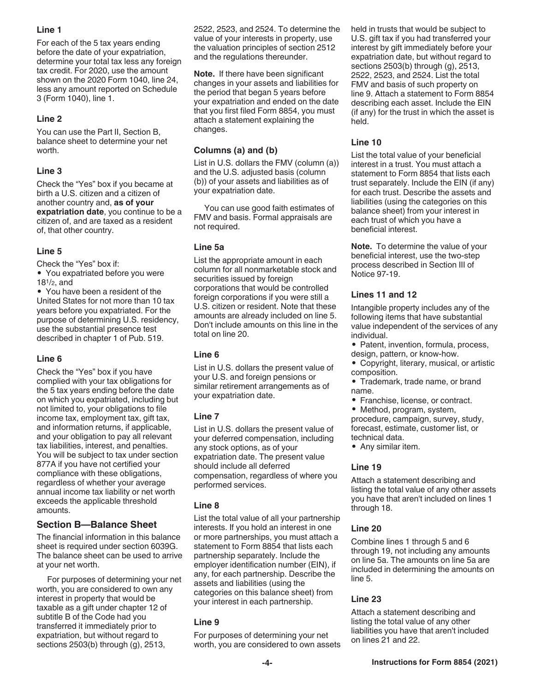## **Line 1**

For each of the 5 tax years ending before the date of your expatriation, determine your total tax less any foreign tax credit. For 2020, use the amount shown on the 2020 Form 1040, line 24, less any amount reported on Schedule 3 (Form 1040), line 1.

## **Line 2**

You can use the Part II, Section B, balance sheet to determine your net worth.

## **Line 3**

Check the "Yes" box if you became at birth a U.S. citizen and a citizen of another country and, **as of your expatriation date**, you continue to be a citizen of, and are taxed as a resident of, that other country.

## **Line 5**

Check the "Yes" box if:

• You expatriated before you were 181/2, and

• You have been a resident of the United States for not more than 10 tax years before you expatriated. For the purpose of determining U.S. residency, use the substantial presence test described in chapter 1 of Pub. 519.

## **Line 6**

Check the "Yes" box if you have complied with your tax obligations for the 5 tax years ending before the date on which you expatriated, including but not limited to, your obligations to file income tax, employment tax, gift tax, and information returns, if applicable, and your obligation to pay all relevant tax liabilities, interest, and penalties. You will be subject to tax under section 877A if you have not certified your compliance with these obligations, regardless of whether your average annual income tax liability or net worth exceeds the applicable threshold amounts.

## **Section B—Balance Sheet**

The financial information in this balance sheet is required under section 6039G. The balance sheet can be used to arrive at your net worth.

For purposes of determining your net worth, you are considered to own any interest in property that would be taxable as a gift under chapter 12 of subtitle B of the Code had you transferred it immediately prior to expatriation, but without regard to sections 2503(b) through (g), 2513,

2522, 2523, and 2524. To determine the value of your interests in property, use the valuation principles of section 2512 and the regulations thereunder.

**Note.** If there have been significant changes in your assets and liabilities for the period that began 5 years before your expatriation and ended on the date that you first filed Form 8854, you must attach a statement explaining the changes.

## **Columns (a) and (b)**

List in U.S. dollars the FMV (column (a)) and the U.S. adjusted basis (column (b)) of your assets and liabilities as of your expatriation date.

You can use good faith estimates of FMV and basis. Formal appraisals are not required.

## **Line 5a**

List the appropriate amount in each column for all nonmarketable stock and securities issued by foreign corporations that would be controlled foreign corporations if you were still a U.S. citizen or resident. Note that these amounts are already included on line 5. Don't include amounts on this line in the total on line 20.

## **Line 6**

List in U.S. dollars the present value of your U.S. and foreign pensions or similar retirement arrangements as of your expatriation date.

## **Line 7**

List in U.S. dollars the present value of your deferred compensation, including any stock options, as of your expatriation date. The present value should include all deferred compensation, regardless of where you performed services.

## **Line 8**

List the total value of all your partnership interests. If you hold an interest in one or more partnerships, you must attach a statement to Form 8854 that lists each partnership separately. Include the employer identification number (EIN), if any, for each partnership. Describe the assets and liabilities (using the categories on this balance sheet) from your interest in each partnership.

## **Line 9**

For purposes of determining your net worth, you are considered to own assets held in trusts that would be subject to U.S. gift tax if you had transferred your interest by gift immediately before your expatriation date, but without regard to sections 2503(b) through (g), 2513, 2522, 2523, and 2524. List the total FMV and basis of such property on line 9. Attach a statement to Form 8854 describing each asset. Include the EIN (if any) for the trust in which the asset is held.

## **Line 10**

List the total value of your beneficial interest in a trust. You must attach a statement to Form 8854 that lists each trust separately. Include the EIN (if any) for each trust. Describe the assets and liabilities (using the categories on this balance sheet) from your interest in each trust of which you have a beneficial interest.

**Note.** To determine the value of your beneficial interest, use the two-step process described in Section III of Notice 97-19.

## **Lines 11 and 12**

Intangible property includes any of the following items that have substantial value independent of the services of any individual.

• Patent, invention, formula, process, design, pattern, or know-how.

- Copyright, literary, musical, or artistic composition.
- Trademark, trade name, or brand name.
- Franchise, license, or contract.
- Method, program, system,

procedure, campaign, survey, study, forecast, estimate, customer list, or technical data.

• Any similar item.

## **Line 19**

Attach a statement describing and listing the total value of any other assets you have that aren't included on lines 1 through 18.

## **Line 20**

Combine lines 1 through 5 and 6 through 19, not including any amounts on line 5a. The amounts on line 5a are included in determining the amounts on line 5.

## **Line 23**

Attach a statement describing and listing the total value of any other liabilities you have that aren't included on lines 21 and 22.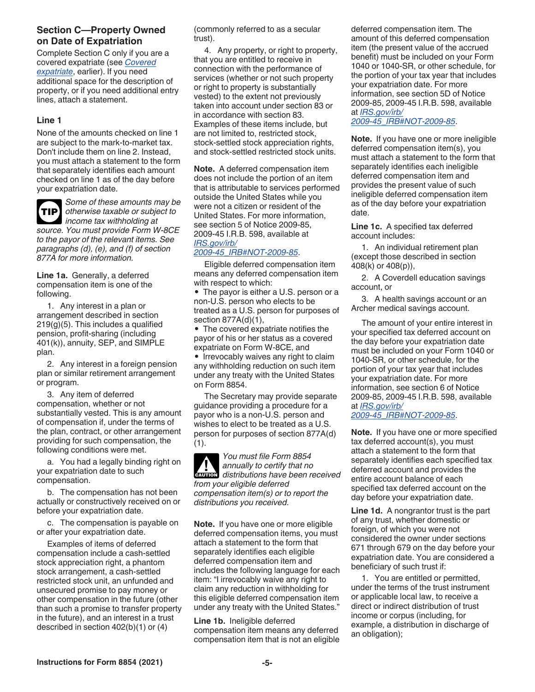## **Section C—Property Owned on Date of Expatriation**

Complete Section C only if you are a covered expatriate (see *Covered expatriate*, earlier). If you need additional space for the description of property, or if you need additional entry lines, attach a statement.

#### **Line 1**

None of the amounts checked on line 1 are subject to the mark-to-market tax. Don't include them on line 2. Instead, you must attach a statement to the form that separately identifies each amount checked on line 1 as of the day before your expatriation date.



*Some of these amounts may be otherwise taxable or subject to income tax withholding at* 

*source. You must provide Form W-8CE to the payor of the relevant items. See paragraphs (d), (e), and (f) of section 877A for more information.*

**Line 1a.** Generally, a deferred compensation item is one of the following.

1. Any interest in a plan or arrangement described in section  $219(g)(5)$ . This includes a qualified pension, profit-sharing (including 401(k)), annuity, SEP, and SIMPLE plan.

2. Any interest in a foreign pension plan or similar retirement arrangement or program.

3. Any item of deferred compensation, whether or not substantially vested. This is any amount of compensation if, under the terms of the plan, contract, or other arrangement providing for such compensation, the following conditions were met.

a. You had a legally binding right on your expatriation date to such compensation.

b. The compensation has not been actually or constructively received on or before your expatriation date.

c. The compensation is payable on or after your expatriation date.

Examples of items of deferred compensation include a cash-settled stock appreciation right, a phantom stock arrangement, a cash-settled restricted stock unit, an unfunded and unsecured promise to pay money or other compensation in the future (other than such a promise to transfer property in the future), and an interest in a trust described in section 402(b)(1) or (4)

(commonly referred to as a secular trust).

4. Any property, or right to property, that you are entitled to receive in connection with the performance of services (whether or not such property or right to property is substantially vested) to the extent not previously taken into account under section 83 or in accordance with section 83. Examples of these items include, but are not limited to, restricted stock, stock-settled stock appreciation rights, and stock-settled restricted stock units.

**Note.** A deferred compensation item does not include the portion of an item that is attributable to services performed outside the United States while you were not a citizen or resident of the United States. For more information, see section 5 of Notice 2009-85, 2009-45 I.R.B. 598, available at *[IRS.gov/irb/](https://www.irs.gov/irb/2009-45_IRB#NOT-2009-85)*

## *[2009-45\\_IRB#NOT-2009-85](https://www.irs.gov/irb/2009-45_IRB#NOT-2009-85)*.

Eligible deferred compensation item means any deferred compensation item with respect to which:

• The payor is either a U.S. person or a non-U.S. person who elects to be treated as a U.S. person for purposes of section 877A(d)(1),

• The covered expatriate notifies the payor of his or her status as a covered expatriate on Form W-8CE, and

• Irrevocably waives any right to claim any withholding reduction on such item under any treaty with the United States on Form 8854.

The Secretary may provide separate guidance providing a procedure for a payor who is a non-U.S. person and wishes to elect to be treated as a U.S. person for purposes of section 877A(d)  $(1).$ 

*You must file Form 8854 annually to certify that no*  **distributions have been received** *from your eligible deferred compensation item(s) or to report the distributions you received.*

**Note.** If you have one or more eligible deferred compensation items, you must attach a statement to the form that separately identifies each eligible deferred compensation item and includes the following language for each item: "I irrevocably waive any right to claim any reduction in withholding for this eligible deferred compensation item under any treaty with the United States."

**Line 1b.** Ineligible deferred compensation item means any deferred compensation item that is not an eligible deferred compensation item. The amount of this deferred compensation item (the present value of the accrued benefit) must be included on your Form 1040 or 1040-SR, or other schedule, for the portion of your tax year that includes your expatriation date. For more information, see section 5D of Notice 2009-85, 2009-45 I.R.B. 598, available at *[IRS.gov/irb/](https://www.irs.gov/irb/2009-45_IRB#NOT-2009-85)*

*[2009-45\\_IRB#NOT-2009-85](https://www.irs.gov/irb/2009-45_IRB#NOT-2009-85)*.

**Note.** If you have one or more ineligible deferred compensation item(s), you must attach a statement to the form that separately identifies each ineligible deferred compensation item and provides the present value of such ineligible deferred compensation item as of the day before your expatriation date.

**Line 1c.** A specified tax deferred account includes:

1. An individual retirement plan (except those described in section 408(k) or 408(p)),

2. A Coverdell education savings account, or

3. A health savings account or an Archer medical savings account.

The amount of your entire interest in your specified tax deferred account on the day before your expatriation date must be included on your Form 1040 or 1040-SR, or other schedule, for the portion of your tax year that includes your expatriation date. For more information, see section 6 of Notice 2009-85, 2009-45 I.R.B. 598, available at *[IRS.gov/irb/](https://www.irs.gov/irb/2009-45_IRB#NOT-2009-85)*

*[2009-45\\_IRB#NOT-2009-85](https://www.irs.gov/irb/2009-45_IRB#NOT-2009-85)*.

**Note.** If you have one or more specified tax deferred account(s), you must attach a statement to the form that separately identifies each specified tax deferred account and provides the entire account balance of each specified tax deferred account on the day before your expatriation date.

**Line 1d.** A nongrantor trust is the part of any trust, whether domestic or foreign, of which you were not considered the owner under sections 671 through 679 on the day before your expatriation date. You are considered a beneficiary of such trust if:

1. You are entitled or permitted, under the terms of the trust instrument or applicable local law, to receive a direct or indirect distribution of trust income or corpus (including, for example, a distribution in discharge of an obligation);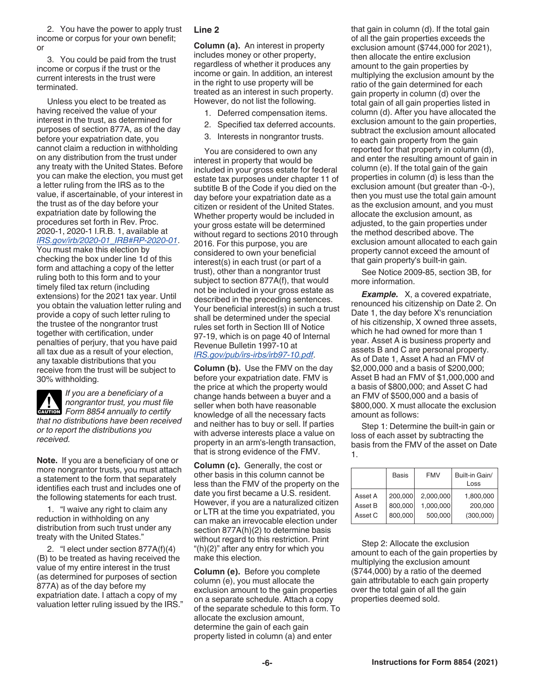2. You have the power to apply trust income or corpus for your own benefit; or

3. You could be paid from the trust income or corpus if the trust or the current interests in the trust were terminated.

Unless you elect to be treated as having received the value of your interest in the trust, as determined for purposes of section 877A, as of the day before your expatriation date, you cannot claim a reduction in withholding on any distribution from the trust under any treaty with the United States. Before you can make the election, you must get a letter ruling from the IRS as to the value, if ascertainable, of your interest in the trust as of the day before your expatriation date by following the procedures set forth in Rev. Proc. 2020-1, 2020-1 I.R.B. 1, available at *[IRS.gov/irb/2020-01\\_IRB#RP-2020-01](https://www.irs.gov/irb/2020-01_IRB#RP-2020-01)*.

You must make this election by checking the box under line 1d of this form and attaching a copy of the letter ruling both to this form and to your timely filed tax return (including extensions) for the 2021 tax year. Until you obtain the valuation letter ruling and provide a copy of such letter ruling to the trustee of the nongrantor trust together with certification, under penalties of perjury, that you have paid all tax due as a result of your election, any taxable distributions that you receive from the trust will be subject to 30% withholding.

*If you are a beneficiary of a nongrantor trust, you must file*  **Property and** *Form 8854 annually to certify that no distributions have been received or to report the distributions you received.*

**Note.** If you are a beneficiary of one or more nongrantor trusts, you must attach a statement to the form that separately identifies each trust and includes one of the following statements for each trust.

1. "I waive any right to claim any reduction in withholding on any distribution from such trust under any treaty with the United States."

2. "I elect under section 877A(f)(4) (B) to be treated as having received the value of my entire interest in the trust (as determined for purposes of section 877A) as of the day before my expatriation date. I attach a copy of my valuation letter ruling issued by the IRS."

## **Line 2**

**Column (a).** An interest in property includes money or other property, regardless of whether it produces any income or gain. In addition, an interest in the right to use property will be treated as an interest in such property. However, do not list the following.

- 1. Deferred compensation items.
- 2. Specified tax deferred accounts.
- 3. Interests in nongrantor trusts.

You are considered to own any interest in property that would be included in your gross estate for federal estate tax purposes under chapter 11 of subtitle B of the Code if you died on the day before your expatriation date as a citizen or resident of the United States. Whether property would be included in your gross estate will be determined without regard to sections 2010 through 2016. For this purpose, you are considered to own your beneficial interest(s) in each trust (or part of a trust), other than a nongrantor trust subject to section 877A(f), that would not be included in your gross estate as described in the preceding sentences. Your beneficial interest(s) in such a trust shall be determined under the special rules set forth in Section III of Notice 97-19, which is on page 40 of Internal Revenue Bulletin 1997-10 at *[IRS.gov/pub/irs-irbs/irb97-10.pdf](https://www.irs.gov/pub/irs-irbs/irb97-10.pdf)*.

**Column (b).** Use the FMV on the day before your expatriation date. FMV is the price at which the property would change hands between a buyer and a seller when both have reasonable knowledge of all the necessary facts and neither has to buy or sell. If parties with adverse interests place a value on property in an arm's-length transaction, that is strong evidence of the FMV.

**Column (c).** Generally, the cost or other basis in this column cannot be less than the FMV of the property on the date you first became a U.S. resident. However, if you are a naturalized citizen or LTR at the time you expatriated, you can make an irrevocable election under section 877A(h)(2) to determine basis without regard to this restriction. Print "(h)(2)" after any entry for which you make this election.

**Column (e).** Before you complete column (e), you must allocate the exclusion amount to the gain properties on a separate schedule. Attach a copy of the separate schedule to this form. To allocate the exclusion amount, determine the gain of each gain property listed in column (a) and enter

that gain in column (d). If the total gain of all the gain properties exceeds the exclusion amount (\$744,000 for 2021), then allocate the entire exclusion amount to the gain properties by multiplying the exclusion amount by the ratio of the gain determined for each gain property in column (d) over the total gain of all gain properties listed in column (d). After you have allocated the exclusion amount to the gain properties, subtract the exclusion amount allocated to each gain property from the gain reported for that property in column (d), and enter the resulting amount of gain in column (e). If the total gain of the gain properties in column (d) is less than the exclusion amount (but greater than -0-), then you must use the total gain amount as the exclusion amount, and you must allocate the exclusion amount, as adjusted, to the gain properties under the method described above. The exclusion amount allocated to each gain property cannot exceed the amount of that gain property's built-in gain.

See Notice 2009-85, section 3B, for more information.

*Example.* X, a covered expatriate, renounced his citizenship on Date 2. On Date 1, the day before X's renunciation of his citizenship, X owned three assets, which he had owned for more than 1 year. Asset A is business property and assets B and C are personal property. As of Date 1, Asset A had an FMV of \$2,000,000 and a basis of \$200,000; Asset B had an FMV of \$1,000,000 and a basis of \$800,000; and Asset C had an FMV of \$500,000 and a basis of \$800,000. X must allocate the exclusion amount as follows:

Step 1: Determine the built-in gain or loss of each asset by subtracting the basis from the FMV of the asset on Date 1.

|         | <b>Basis</b> | <b>FMV</b> | Built-in Gain/<br>Loss |
|---------|--------------|------------|------------------------|
| Asset A | 200,000      | 2.000.000  | 1,800,000              |
| Asset B | 800.000      | 1.000.000  | 200,000                |
| Asset C | 800,000      | 500,000    | (300,000)              |

Step 2: Allocate the exclusion amount to each of the gain properties by multiplying the exclusion amount (\$744,000) by a ratio of the deemed gain attributable to each gain property over the total gain of all the gain properties deemed sold.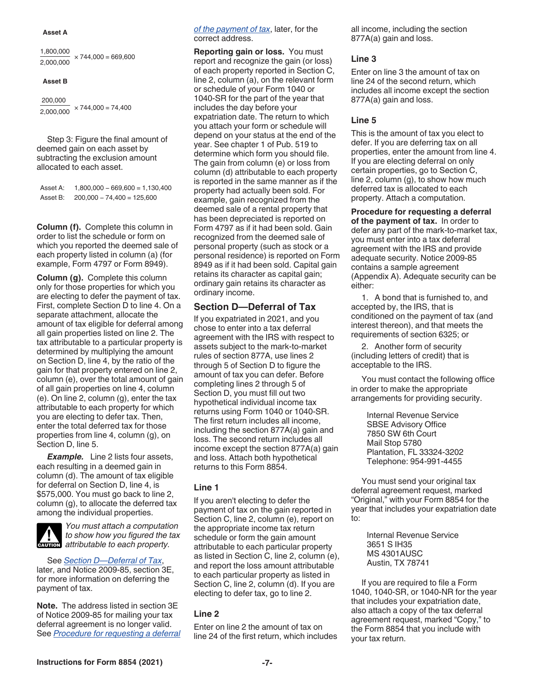#### **Asset A**

1,800,000  $\times$  744,000 = 669,600 2,000,000

#### **Asset B**

 200,000  $\overline{2,000,000}$  × 744,000 = 74,400

Step 3: Figure the final amount of deemed gain on each asset by subtracting the exclusion amount allocated to each asset.

Asset A: 1,800,000 − 669,600 = 1,130,400 Asset B: 200,000 − 74,400 = 125,600

**Column (f).** Complete this column in order to list the schedule or form on which you reported the deemed sale of each property listed in column (a) (for example, Form 4797 or Form 8949).

**Column (g).** Complete this column only for those properties for which you are electing to defer the payment of tax. First, complete Section D to line 4. On a separate attachment, allocate the amount of tax eligible for deferral among all gain properties listed on line 2. The tax attributable to a particular property is determined by multiplying the amount on Section D, line 4, by the ratio of the gain for that property entered on line 2, column (e), over the total amount of gain of all gain properties on line 4, column (e). On line 2, column (g), enter the tax attributable to each property for which you are electing to defer tax. Then, enter the total deferred tax for those properties from line 4, column (g), on Section D, line 5.

**Example.** Line 2 lists four assets, each resulting in a deemed gain in column (d). The amount of tax eligible for deferral on Section D, line 4, is \$575,000. You must go back to line 2, column (g), to allocate the deferred tax among the individual properties.



*You must attach a computation to show how you figured the tax*  to show how you figured the action of the two attributable to each property.

See *Section D—Deferral of Tax*, later, and Notice 2009-85, section 3E, for more information on deferring the payment of tax.

**Note.** The address listed in section 3E of Notice 2009-85 for mailing your tax deferral agreement is no longer valid. See *Procedure for requesting a deferral*  *of the payment of tax*, later, for the correct address.

**Reporting gain or loss.** You must report and recognize the gain (or loss) of each property reported in Section C, line 2, column (a), on the relevant form or schedule of your Form 1040 or 1040-SR for the part of the year that includes the day before your expatriation date. The return to which you attach your form or schedule will depend on your status at the end of the year. See chapter 1 of Pub. 519 to determine which form you should file. The gain from column (e) or loss from column (d) attributable to each property is reported in the same manner as if the property had actually been sold. For example, gain recognized from the deemed sale of a rental property that has been depreciated is reported on Form 4797 as if it had been sold. Gain recognized from the deemed sale of personal property (such as stock or a personal residence) is reported on Form 8949 as if it had been sold. Capital gain retains its character as capital gain; ordinary gain retains its character as ordinary income.

#### **Section D—Deferral of Tax**

If you expatriated in 2021, and you chose to enter into a tax deferral agreement with the IRS with respect to assets subject to the mark-to-market rules of section 877A, use lines 2 through 5 of Section D to figure the amount of tax you can defer. Before completing lines 2 through 5 of Section D, you must fill out two hypothetical individual income tax returns using Form 1040 or 1040-SR. The first return includes all income, including the section 877A(a) gain and loss. The second return includes all income except the section 877A(a) gain and loss. Attach both hypothetical returns to this Form 8854.

#### **Line 1**

If you aren't electing to defer the payment of tax on the gain reported in Section C, line 2, column (e), report on the appropriate income tax return schedule or form the gain amount attributable to each particular property as listed in Section C, line 2, column (e), and report the loss amount attributable to each particular property as listed in Section C, line 2, column (d). If you are electing to defer tax, go to line 2.

#### **Line 2**

Enter on line 2 the amount of tax on line 24 of the first return, which includes all income, including the section 877A(a) gain and loss.

#### **Line 3**

Enter on line 3 the amount of tax on line 24 of the second return, which includes all income except the section 877A(a) gain and loss.

#### **Line 5**

This is the amount of tax you elect to defer. If you are deferring tax on all properties, enter the amount from line 4. If you are electing deferral on only certain properties, go to Section C, line 2, column (g), to show how much deferred tax is allocated to each property. Attach a computation.

**Procedure for requesting a deferral of the payment of tax.** In order to defer any part of the mark-to-market tax, you must enter into a tax deferral agreement with the IRS and provide adequate security. Notice 2009-85 contains a sample agreement (Appendix A). Adequate security can be either:

1. A bond that is furnished to, and accepted by, the IRS, that is conditioned on the payment of tax (and interest thereon), and that meets the requirements of section 6325; or

2. Another form of security (including letters of credit) that is acceptable to the IRS.

You must contact the following office in order to make the appropriate arrangements for providing security.

> Internal Revenue Service SBSE Advisory Office 7850 SW 6th Court Mail Stop 5780 Plantation, FL 33324-3202 Telephone: 954-991-4455

You must send your original tax deferral agreement request, marked "Original," with your Form 8854 for the year that includes your expatriation date to:

> Internal Revenue Service 3651 S IH35 MS 4301AUSC Austin, TX 78741

If you are required to file a Form 1040, 1040-SR, or 1040-NR for the year that includes your expatriation date, also attach a copy of the tax deferral agreement request, marked "Copy," to the Form 8854 that you include with your tax return.